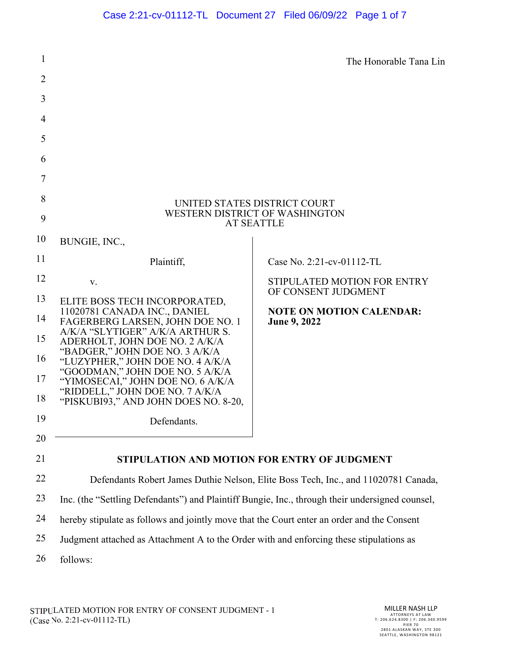| 1                                      |                                                                                                                                                                                                                                                                                                                                                                                                        | The Honorable Tana Lin                                                                                       |  |  |
|----------------------------------------|--------------------------------------------------------------------------------------------------------------------------------------------------------------------------------------------------------------------------------------------------------------------------------------------------------------------------------------------------------------------------------------------------------|--------------------------------------------------------------------------------------------------------------|--|--|
| $\overline{2}$                         |                                                                                                                                                                                                                                                                                                                                                                                                        |                                                                                                              |  |  |
| 3                                      |                                                                                                                                                                                                                                                                                                                                                                                                        |                                                                                                              |  |  |
| 4                                      |                                                                                                                                                                                                                                                                                                                                                                                                        |                                                                                                              |  |  |
| 5                                      |                                                                                                                                                                                                                                                                                                                                                                                                        |                                                                                                              |  |  |
| 6                                      |                                                                                                                                                                                                                                                                                                                                                                                                        |                                                                                                              |  |  |
| 7                                      |                                                                                                                                                                                                                                                                                                                                                                                                        |                                                                                                              |  |  |
| 8<br>9                                 | UNITED STATES DISTRICT COURT<br>WESTERN DISTRICT OF WASHINGTON<br><b>AT SEATTLE</b>                                                                                                                                                                                                                                                                                                                    |                                                                                                              |  |  |
| 10                                     | BUNGIE, INC.,                                                                                                                                                                                                                                                                                                                                                                                          |                                                                                                              |  |  |
| 11                                     | Plaintiff,                                                                                                                                                                                                                                                                                                                                                                                             | Case No. 2:21-cv-01112-TL                                                                                    |  |  |
| 12<br>13<br>14<br>15<br>16<br>17<br>18 | V.<br>ELITE BOSS TECH INCORPORATED,<br>11020781 CANADA INC., DANIEL<br>FAGERBERG LARSEN, JOHN DOE NO. 1<br>A/K/A "SLYTIGER" A/K/A ARTHUR S.<br>ADERHOLT, JOHN DOE NO. 2 A/K/A<br>"BADGER," JOHN DOE NO. 3 A/K/A<br>"LUZYPHER," JOHN DOE NO. 4 A/K/A<br>"GOODMAN," JOHN DOE NO. 5 A/K/A<br>"YIMOSECAI," JOHN DOE NO. 6 A/K/A<br>"RIDDELL," JOHN DOE NO. 7 A/K/A<br>"PISKUBI93," AND JOHN DOES NO. 8-20, | STIPULATED MOTION FOR ENTRY<br>OF CONSENT JUDGMENT<br><b>NOTE ON MOTION CALENDAR:</b><br><b>June 9, 2022</b> |  |  |
| 19                                     | Defendants.                                                                                                                                                                                                                                                                                                                                                                                            |                                                                                                              |  |  |
| 20                                     |                                                                                                                                                                                                                                                                                                                                                                                                        |                                                                                                              |  |  |
| 21                                     | STIPULATION AND MOTION FOR ENTRY OF JUDGMENT                                                                                                                                                                                                                                                                                                                                                           |                                                                                                              |  |  |
| 22                                     | Defendants Robert James Duthie Nelson, Elite Boss Tech, Inc., and 11020781 Canada,                                                                                                                                                                                                                                                                                                                     |                                                                                                              |  |  |
| 23                                     | Inc. (the "Settling Defendants") and Plaintiff Bungie, Inc., through their undersigned counsel,                                                                                                                                                                                                                                                                                                        |                                                                                                              |  |  |
| 24                                     | hereby stipulate as follows and jointly move that the Court enter an order and the Consent                                                                                                                                                                                                                                                                                                             |                                                                                                              |  |  |
| 25                                     | Judgment attached as Attachment A to the Order with and enforcing these stipulations as                                                                                                                                                                                                                                                                                                                |                                                                                                              |  |  |
| 26                                     | follows:                                                                                                                                                                                                                                                                                                                                                                                               |                                                                                                              |  |  |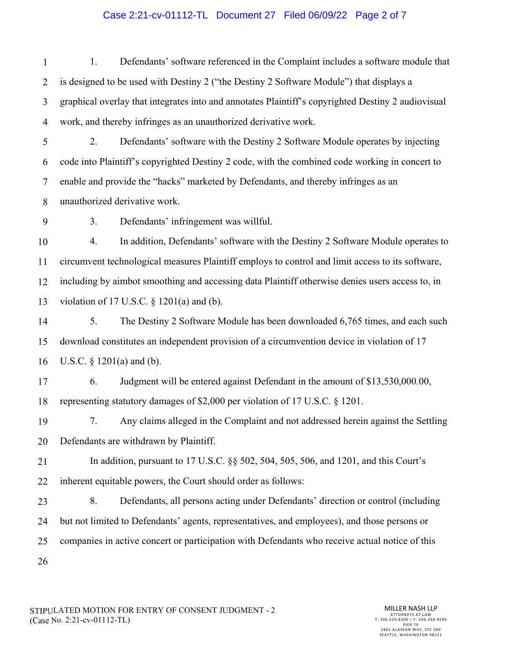### Case 2:21-cv-01112-TL Document 27 Filed 06/09/22 Page 2 of 7

1 2 3 4 1. Defendants' software referenced in the Complaint includes a software module that is designed to be used with Destiny 2 ("the Destiny 2 Software Module") that displays a graphical overlay that integrates into and annotates Plaintiff's copyrighted Destiny 2 audiovisual work, and thereby infringes as an unauthorized derivative work.

5 6 7 8 2. Defendants' software with the Destiny 2 Software Module operates by injecting code into Plaintiff's copyrighted Destiny 2 code, with the combined code working in concert to enable and provide the "hacks" marketed by Defendants, and thereby infringes as an unauthorized derivative work.

9 3. Defendants' infringement was willful.

10 11 12 13 4. In addition, Defendants' software with the Destiny 2 Software Module operates to circumvent technological measures Plaintiff employs to control and limit access to its software, including by aimbot smoothing and accessing data Plaintiff otherwise denies users access to, in violation of 17 U.S.C.  $\S$  1201(a) and (b).

14 15 16 5. The Destiny 2 Software Module has been downloaded 6,765 times, and each such download constitutes an independent provision of a circumvention device in violation of 17 U.S.C. § 1201(a) and (b).

17 18 6. Judgment will be entered against Defendant in the amount of \$13,530,000.00, representing statutory damages of \$2,000 per violation of 17 U.S.C. § 1201.

19 20 7. Any claims alleged in the Complaint and not addressed herein against the Settling Defendants are withdrawn by Plaintiff.

21 22 In addition, pursuant to 17 U.S.C. §§ 502, 504, 505, 506, and 1201, and this Court's inherent equitable powers, the Court should order as follows:

23 24 25 26 8. Defendants, all persons acting under Defendants' direction or control (including but not limited to Defendants' agents, representatives, and employees), and those persons or companies in active concert or participation with Defendants who receive actual notice of this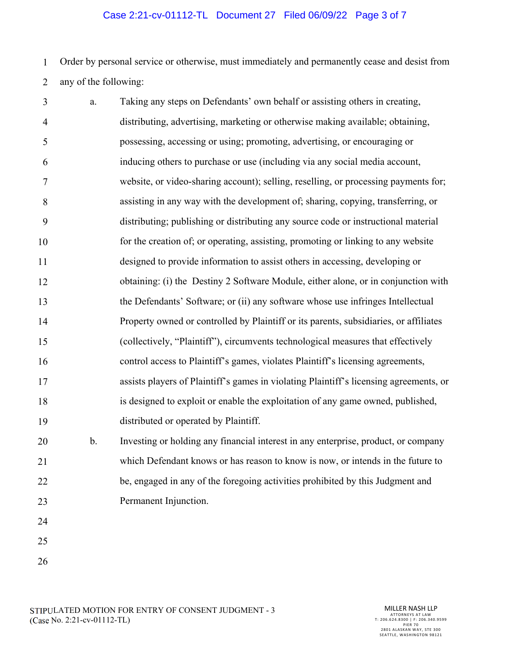## Case 2:21-cv-01112-TL Document 27 Filed 06/09/22 Page 3 of 7

1 2 Order by personal service or otherwise, must immediately and permanently cease and desist from any of the following:

| 3        | a. | Taking any steps on Defendants' own behalf or assisting others in creating,                           |
|----------|----|-------------------------------------------------------------------------------------------------------|
| 4        |    | distributing, advertising, marketing or otherwise making available; obtaining,                        |
| 5        |    | possessing, accessing or using; promoting, advertising, or encouraging or                             |
| 6        |    | inducing others to purchase or use (including via any social media account,                           |
| 7        |    | website, or video-sharing account); selling, reselling, or processing payments for;                   |
| 8        |    | assisting in any way with the development of; sharing, copying, transferring, or                      |
| 9        |    | distributing; publishing or distributing any source code or instructional material                    |
| 10       |    | for the creation of; or operating, assisting, promoting or linking to any website                     |
| 11       |    | designed to provide information to assist others in accessing, developing or                          |
| 12       |    | obtaining: (i) the Destiny 2 Software Module, either alone, or in conjunction with                    |
| 13       |    | the Defendants' Software; or (ii) any software whose use infringes Intellectual                       |
| 14       |    | Property owned or controlled by Plaintiff or its parents, subsidiaries, or affiliates                 |
| 15       |    | (collectively, "Plaintiff"), circumvents technological measures that effectively                      |
| 16       |    | control access to Plaintiff's games, violates Plaintiff's licensing agreements,                       |
| 17       |    | assists players of Plaintiff's games in violating Plaintiff's licensing agreements, or                |
| 18       |    | is designed to exploit or enable the exploitation of any game owned, published,                       |
| 19       |    | distributed or operated by Plaintiff.                                                                 |
| 20       | b. | Investing or holding any financial interest in any enterprise, product, or company                    |
| $\sim$ 1 |    | $-1.1.1.$ Defined by the case of the second of the case to see the first of the fields $f_{\rm{eff}}$ |

- 21 22 23 which Defendant knows or has reason to know is now, or intends in the future to be, engaged in any of the foregoing activities prohibited by this Judgment and Permanent Injunction.
- 24 25
- 
- 26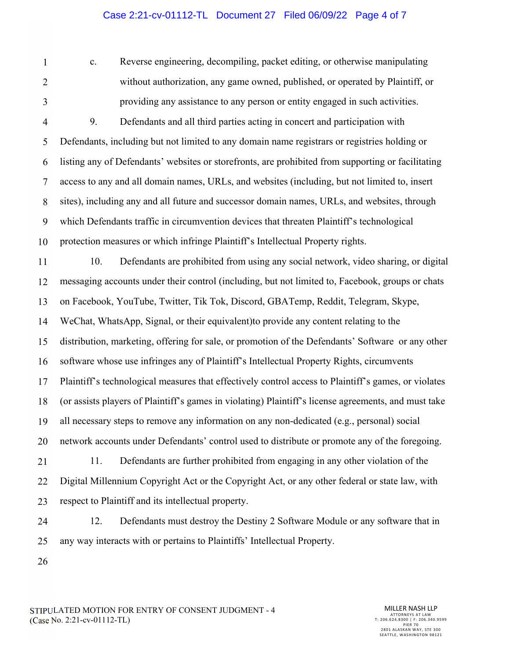### Case 2:21-cv-01112-TL Document 27 Filed 06/09/22 Page 4 of 7

1

2 3

c. Reverse engineering, decompiling, packet editing, or otherwise manipulating without authorization, any game owned, published, or operated by Plaintiff, or providing any assistance to any person or entity engaged in such activities.

4 5 6 7 8 9 10 9. Defendants and all third parties acting in concert and participation with Defendants, including but not limited to any domain name registrars or registries holding or listing any of Defendants' websites or storefronts, are prohibited from supporting or facilitating access to any and all domain names, URLs, and websites (including, but not limited to, insert sites), including any and all future and successor domain names, URLs, and websites, through which Defendants traffic in circumvention devices that threaten Plaintiff's technological protection measures or which infringe Plaintiff's Intellectual Property rights.

11 12 13 14 15 16 17 18 19 20 10. Defendants are prohibited from using any social network, video sharing, or digital messaging accounts under their control (including, but not limited to, Facebook, groups or chats on Facebook, YouTube, Twitter, Tik Tok, Discord, GBATemp, Reddit, Telegram, Skype, WeChat, WhatsApp, Signal, or their equivalent)to provide any content relating to the distribution, marketing, offering for sale, or promotion of the Defendants' Software or any other software whose use infringes any of Plaintiff's Intellectual Property Rights, circumvents Plaintiff's technological measures that effectively control access to Plaintiff's games, or violates (or assists players of Plaintiff's games in violating) Plaintiff's license agreements, and must take all necessary steps to remove any information on any non-dedicated (e.g., personal) social network accounts under Defendants' control used to distribute or promote any of the foregoing.

21 22 23 11. Defendants are further prohibited from engaging in any other violation of the Digital Millennium Copyright Act or the Copyright Act, or any other federal or state law, with respect to Plaintiff and its intellectual property.

24 25 12. Defendants must destroy the Destiny 2 Software Module or any software that in any way interacts with or pertains to Plaintiffs' Intellectual Property.

26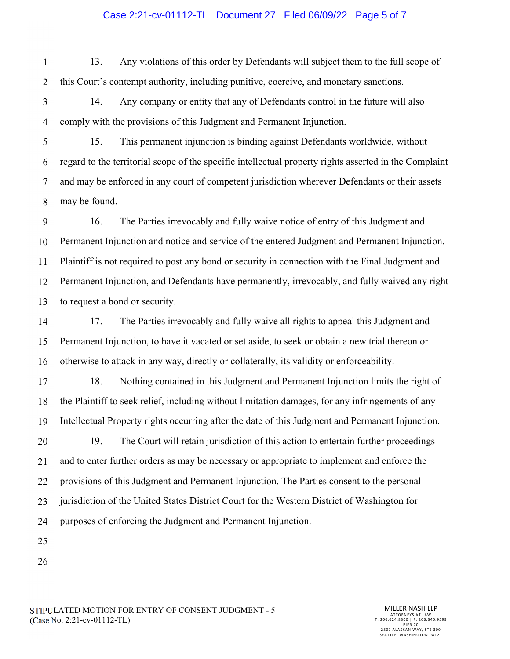#### Case 2:21-cv-01112-TL Document 27 Filed 06/09/22 Page 5 of 7

1 2 13. Any violations of this order by Defendants will subject them to the full scope of this Court's contempt authority, including punitive, coercive, and monetary sanctions.

3 4 14. Any company or entity that any of Defendants control in the future will also comply with the provisions of this Judgment and Permanent Injunction.

5 6 7 8 15. This permanent injunction is binding against Defendants worldwide, without regard to the territorial scope of the specific intellectual property rights asserted in the Complaint and may be enforced in any court of competent jurisdiction wherever Defendants or their assets may be found.

9 10 11 12 13 16. The Parties irrevocably and fully waive notice of entry of this Judgment and Permanent Injunction and notice and service of the entered Judgment and Permanent Injunction. Plaintiff is not required to post any bond or security in connection with the Final Judgment and Permanent Injunction, and Defendants have permanently, irrevocably, and fully waived any right to request a bond or security.

14 15 16 17. The Parties irrevocably and fully waive all rights to appeal this Judgment and Permanent Injunction, to have it vacated or set aside, to seek or obtain a new trial thereon or otherwise to attack in any way, directly or collaterally, its validity or enforceability.

17 18 19 20 21 22 23 24 18. Nothing contained in this Judgment and Permanent Injunction limits the right of the Plaintiff to seek relief, including without limitation damages, for any infringements of any Intellectual Property rights occurring after the date of this Judgment and Permanent Injunction. 19. The Court will retain jurisdiction of this action to entertain further proceedings and to enter further orders as may be necessary or appropriate to implement and enforce the provisions of this Judgment and Permanent Injunction. The Parties consent to the personal jurisdiction of the United States District Court for the Western District of Washington for purposes of enforcing the Judgment and Permanent Injunction.

- 25
- 26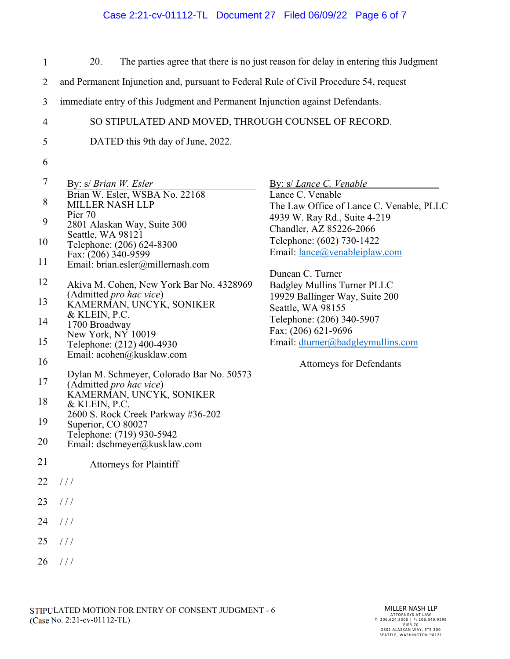# Case 2:21-cv-01112-TL Document 27 Filed 06/09/22 Page 6 of 7

| $\mathbf{1}$   | 20.                                                                                   | The parties agree that there is no just reason for delay in entering this Judgment |  |  |
|----------------|---------------------------------------------------------------------------------------|------------------------------------------------------------------------------------|--|--|
| $\overline{2}$ | and Permanent Injunction and, pursuant to Federal Rule of Civil Procedure 54, request |                                                                                    |  |  |
| 3              | immediate entry of this Judgment and Permanent Injunction against Defendants.         |                                                                                    |  |  |
| $\overline{4}$ | SO STIPULATED AND MOVED, THROUGH COUNSEL OF RECORD.                                   |                                                                                    |  |  |
| 5              | DATED this 9th day of June, 2022.                                                     |                                                                                    |  |  |
| 6              |                                                                                       |                                                                                    |  |  |
| 7              | By: s/ Brian W. Esler<br>Brian W. Esler, WSBA No. 22168                               | By: s/ Lance C. Venable<br>Lance C. Venable                                        |  |  |
| $8\,$          | <b>MILLER NASH LLP</b>                                                                | The Law Office of Lance C. Venable, PLLC                                           |  |  |
| 9              | Pier 70<br>2801 Alaskan Way, Suite 300                                                | 4939 W. Ray Rd., Suite 4-219                                                       |  |  |
| 10             | Seattle, WA 98121<br>Telephone: (206) 624-8300                                        | Chandler, AZ 85226-2066<br>Telephone: (602) 730-1422                               |  |  |
|                | Fax: (206) 340-9599                                                                   | Email: lance@venableiplaw.com                                                      |  |  |
| 11             | Email: brian.esler@millernash.com                                                     | Duncan C. Turner                                                                   |  |  |
| 12             | Akiva M. Cohen, New York Bar No. 4328969                                              | Badgley Mullins Turner PLLC                                                        |  |  |
| 13             | (Admitted pro hac vice)<br>KAMERMAN, UNCYK, SONIKER                                   | 19929 Ballinger Way, Suite 200<br>Seattle, WA 98155                                |  |  |
| 14             | & KLEIN, P.C.<br>1700 Broadway                                                        | Telephone: (206) 340-5907                                                          |  |  |
|                | New York, NY 10019                                                                    | Fax: (206) 621-9696                                                                |  |  |
| 15             | Telephone: (212) 400-4930<br>Email: acohen@kusklaw.com                                | Email: dturner@badgleymullins.com                                                  |  |  |
| 16             |                                                                                       | <b>Attorneys for Defendants</b>                                                    |  |  |
| 17             | Dylan M. Schmeyer, Colorado Bar No. 50573<br>(Admitted pro hac vice)                  |                                                                                    |  |  |
| 18             | KAMERMAN, UNCYK, SONIKER                                                              |                                                                                    |  |  |
|                | & KLEIN, P.C.<br>2600 S. Rock Creek Parkway #36-202                                   |                                                                                    |  |  |
| 19             | Superior, CO 80027<br>Telephone: (719) 930-5942                                       |                                                                                    |  |  |
| 20             | Email: dschmeyer@kusklaw.com                                                          |                                                                                    |  |  |
| 21             | <b>Attorneys for Plaintiff</b>                                                        |                                                                                    |  |  |
| 22             | 111                                                                                   |                                                                                    |  |  |
| 23             | 111                                                                                   |                                                                                    |  |  |
| 24             | 111                                                                                   |                                                                                    |  |  |
| 25             | 111                                                                                   |                                                                                    |  |  |
| 26             | 111                                                                                   |                                                                                    |  |  |